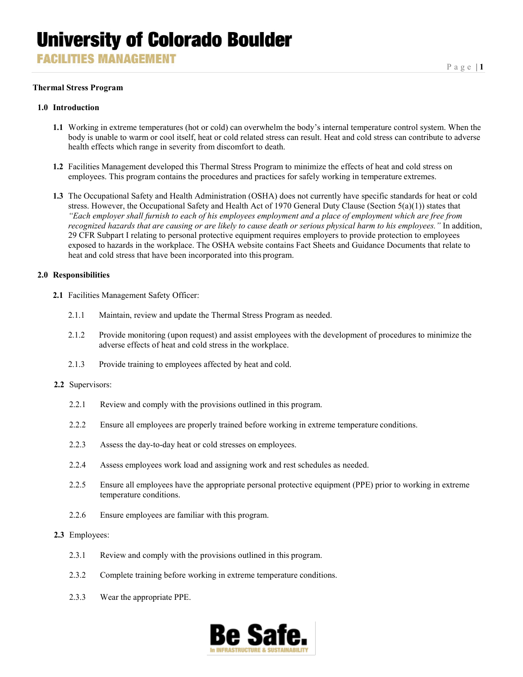**FACILITIES MANAGEMENT** 

#### **Thermal Stress Program**

#### **1.0 Introduction**

- **1.1** Working in extreme temperatures (hot or cold) can overwhelm the body's internal temperature control system. When the body is unable to warm or cool itself, heat or cold related stress can result. Heat and cold stress can contribute to adverse health effects which range in severity from discomfort to death.
- **1.2** Facilities Management developed this Thermal Stress Program to minimize the effects of heat and cold stress on employees. This program contains the procedures and practices for safely working in temperature extremes.
- **1.3** The Occupational Safety and Health Administration (OSHA) does not currently have specific standards for heat or cold stress. However, the Occupational Safety and Health Act of 1970 General Duty Clause (Section 5(a)(1)) states that *"Each employer shall furnish to each of his employees employment and a place of employment which are free from recognized hazards that are causing or are likely to cause death or serious physical harm to his employees."* In addition, 29 CFR Subpart I relating to personal protective equipment requires employers to provide protection to employees exposed to hazards in the workplace. The OSHA website contains Fact Sheets and Guidance Documents that relate to heat and cold stress that have been incorporated into this program.

#### **2.0 Responsibilities**

- **2.1** Facilities Management Safety Officer:
	- 2.1.1 Maintain, review and update the Thermal Stress Program as needed.
	- 2.1.2 Provide monitoring (upon request) and assist employees with the development of procedures to minimize the adverse effects of heat and cold stress in the workplace.
	- 2.1.3 Provide training to employees affected by heat and cold.
- **2.2** Supervisors:
	- 2.2.1 Review and comply with the provisions outlined in this program.
	- 2.2.2 Ensure all employees are properly trained before working in extreme temperature conditions.
	- 2.2.3 Assess the day-to-day heat or cold stresses on employees.
	- 2.2.4 Assess employees work load and assigning work and rest schedules as needed.
	- 2.2.5 Ensure all employees have the appropriate personal protective equipment (PPE) prior to working in extreme temperature conditions.
	- 2.2.6 Ensure employees are familiar with this program.

### **2.3** Employees:

- 2.3.1 Review and comply with the provisions outlined in this program.
- 2.3.2 Complete training before working in extreme temperature conditions.
- 2.3.3 Wear the appropriate PPE.

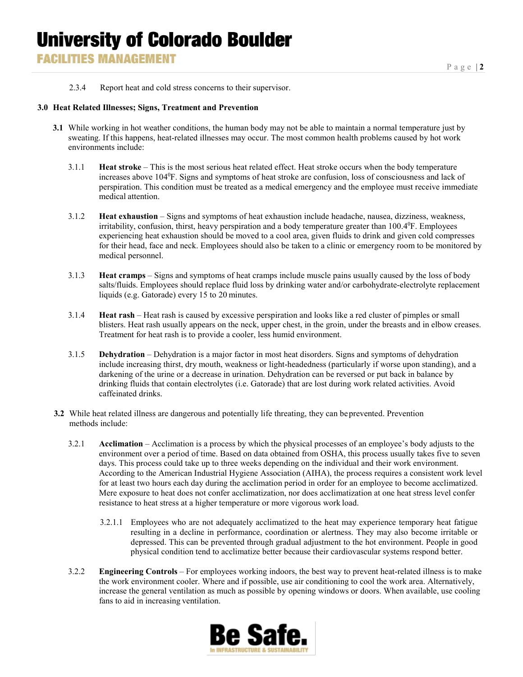## **University of Colorado Boulder FACILITIES MANAGEMENT**

2.3.4 Report heat and cold stress concerns to their supervisor.

### **3.0 Heat Related Illnesses; Signs, Treatment and Prevention**

- **3.1** While working in hot weather conditions, the human body may not be able to maintain a normal temperature just by sweating. If this happens, heat-related illnesses may occur. The most common health problems caused by hot work environments include:
	- 3.1.1 **Heat stroke** This is the most serious heat related effect. Heat stroke occurs when the body temperature increases above 1040 F. Signs and symptoms of heat stroke are confusion, loss of consciousness and lack of perspiration. This condition must be treated as a medical emergency and the employee must receive immediate medical attention.
	- 3.1.2 **Heat exhaustion** Signs and symptoms of heat exhaustion include headache, nausea, dizziness, weakness, irritability, confusion, thirst, heavy perspiration and a body temperature greater than 100.4<sup>0</sup>F. Employees experiencing heat exhaustion should be moved to a cool area, given fluids to drink and given cold compresses for their head, face and neck. Employees should also be taken to a clinic or emergency room to be monitored by medical personnel.
	- 3.1.3 **Heat cramps** Signs and symptoms of heat cramps include muscle pains usually caused by the loss of body salts/fluids. Employees should replace fluid loss by drinking water and/or carbohydrate-electrolyte replacement liquids (e.g. Gatorade) every 15 to 20 minutes.
	- 3.1.4 **Heat rash** Heat rash is caused by excessive perspiration and looks like a red cluster of pimples or small blisters. Heat rash usually appears on the neck, upper chest, in the groin, under the breasts and in elbow creases. Treatment for heat rash is to provide a cooler, less humid environment.
	- 3.1.5 **Dehydration** Dehydration is a major factor in most heat disorders. Signs and symptoms of dehydration include increasing thirst, dry mouth, weakness or light-headedness (particularly if worse upon standing), and a darkening of the urine or a decrease in urination. Dehydration can be reversed or put back in balance by drinking fluids that contain electrolytes (i.e. Gatorade) that are lost during work related activities. Avoid caffeinated drinks.
- **3.2** While heat related illness are dangerous and potentially life threating, they can beprevented. Prevention methods include:
	- 3.2.1 **Acclimation** Acclimation is a process by which the physical processes of an employee's body adjusts to the environment over a period of time. Based on data obtained from OSHA, this process usually takes five to seven days. This process could take up to three weeks depending on the individual and their work environment. According to the American Industrial Hygiene Association (AIHA), the process requires a consistent work level for at least two hours each day during the acclimation period in order for an employee to become acclimatized. Mere exposure to heat does not confer acclimatization, nor does acclimatization at one heat stress level confer resistance to heat stress at a higher temperature or more vigorous work load.
		- 3.2.1.1 Employees who are not adequately acclimatized to the heat may experience temporary heat fatigue resulting in a decline in performance, coordination or alertness. They may also become irritable or depressed. This can be prevented through gradual adjustment to the hot environment. People in good physical condition tend to acclimatize better because their cardiovascular systems respond better.
	- 3.2.2 **Engineering Controls** For employees working indoors, the best way to prevent heat-related illness is to make the work environment cooler. Where and if possible, use air conditioning to cool the work area. Alternatively, increase the general ventilation as much as possible by opening windows or doors. When available, use cooling fans to aid in increasing ventilation.

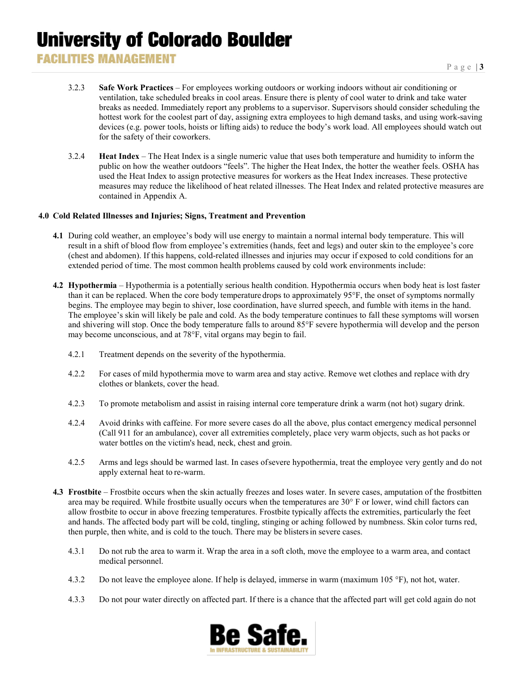- 3.2.3 **Safe Work Practices** For employees working outdoors or working indoors without air conditioning or ventilation, take scheduled breaks in cool areas. Ensure there is plenty of cool water to drink and take water breaks as needed. Immediately report any problems to a supervisor. Supervisors should consider scheduling the hottest work for the coolest part of day, assigning extra employees to high demand tasks, and using work-saving devices (e.g. power tools, hoists or lifting aids) to reduce the body's work load. All employees should watch out for the safety of their coworkers.
- 3.2.4 **Heat Index** The Heat Index is a single numeric value that uses both temperature and humidity to inform the public on how the weather outdoors "feels". The higher the Heat Index, the hotter the weather feels. OSHA has used the Heat Index to assign protective measures for workers as the Heat Index increases. These protective measures may reduce the likelihood of heat related illnesses. The Heat Index and related protective measures are contained in Appendix A.

### **4.0 Cold Related Illnesses and Injuries; Signs, Treatment and Prevention**

- **4.1** During cold weather, an employee's body will use energy to maintain a normal internal body temperature. This will result in a shift of blood flow from employee's extremities (hands, feet and legs) and outer skin to the employee's core (chest and abdomen). If this happens, cold-related illnesses and injuries may occur if exposed to cold conditions for an extended period of time. The most common health problems caused by cold work environments include:
- **4.2 Hypothermia** Hypothermia is a potentially serious health condition. Hypothermia occurs when body heat is lost faster than it can be replaced. When the core body temperature drops to approximately 95°F, the onset of symptoms normally begins. The employee may begin to shiver, lose coordination, have slurred speech, and fumble with items in the hand. The employee's skin will likely be pale and cold. As the body temperature continues to fall these symptoms will worsen and shivering will stop. Once the body temperature falls to around 85°F severe hypothermia will develop and the person may become unconscious, and at 78°F, vital organs may begin to fail.
	- 4.2.1 Treatment depends on the severity of the hypothermia.
	- 4.2.2 For cases of mild hypothermia move to warm area and stay active. Remove wet clothes and replace with dry clothes or blankets, cover the head.
	- 4.2.3 To promote metabolism and assist in raising internal core temperature drink a warm (not hot) sugary drink.
	- 4.2.4 Avoid drinks with caffeine. For more severe cases do all the above, plus contact emergency medical personnel (Call 911 for an ambulance), cover all extremities completely, place very warm objects, such as hot packs or water bottles on the victim's head, neck, chest and groin.
	- 4.2.5 Arms and legs should be warmed last. In cases ofsevere hypothermia, treat the employee very gently and do not apply external heat to re-warm.
- **4.3 Frostbite** Frostbite occurs when the skin actually freezes and loses water. In severe cases, amputation of the frostbitten area may be required. While frostbite usually occurs when the temperatures are 30° F or lower, wind chill factors can allow frostbite to occur in above freezing temperatures. Frostbite typically affects the extremities, particularly the feet and hands. The affected body part will be cold, tingling, stinging or aching followed by numbness. Skin color turns red, then purple, then white, and is cold to the touch. There may be blistersin severe cases.
	- 4.3.1 Do not rub the area to warm it. Wrap the area in a soft cloth, move the employee to a warm area, and contact medical personnel.
	- 4.3.2 Do not leave the employee alone. If help is delayed, immerse in warm (maximum 105 °F), not hot, water.
	- 4.3.3 Do not pour water directly on affected part. If there is a chance that the affected part will get cold again do not

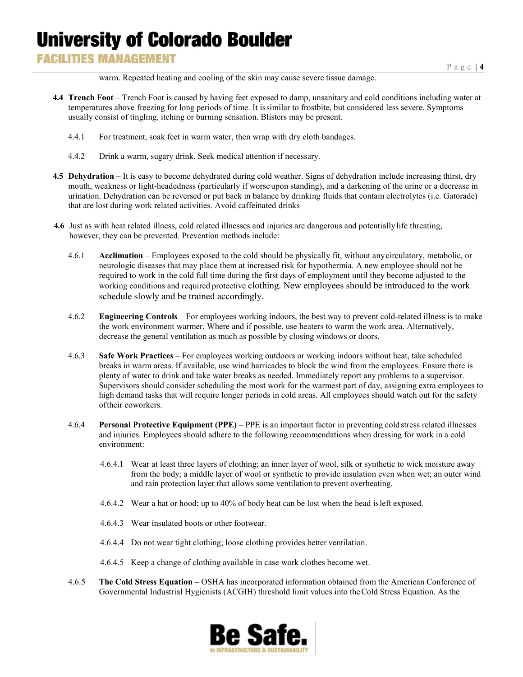### **FACILITIES MANAGEMENT**

warm. Repeated heating and cooling of the skin may cause severe tissue damage.

- **4.4 Trench Foot** Trench Foot is caused by having feet exposed to damp, unsanitary and cold conditions including water at temperatures above freezing for long periods of time. It issimilar to frostbite, but considered less severe. Symptoms usually consist of tingling, itching or burning sensation. Blisters may be present.
	- 4.4.1 For treatment, soak feet in warm water, then wrap with dry cloth bandages.
	- 4.4.2 Drink a warm, sugary drink. Seek medical attention if necessary.
- **4.5 Dehydration** It is easy to become dehydrated during cold weather. Signs of dehydration include increasing thirst, dry mouth, weakness or light-headedness (particularly if worse upon standing), and a darkening of the urine or a decrease in urination. Dehydration can be reversed or put back in balance by drinking fluids that contain electrolytes (i.e. Gatorade) that are lost during work related activities. Avoid caffeinated drinks
- **4.6** Just as with heat related illness, cold related illnesses and injuries are dangerous and potentiallylife threating, however, they can be prevented. Prevention methods include:
	- 4.6.1 **Acclimation** Employees exposed to the cold should be physically fit, without anycirculatory, metabolic, or neurologic diseases that may place them at increased risk for hypothermia. A new employee should not be required to work in the cold full time during the first days of employment until they become adjusted to the working conditions and required protective clothing. New employees should be introduced to the work schedule slowly and be trained accordingly.
	- 4.6.2 **Engineering Controls** For employees working indoors, the best way to prevent cold-related illness is to make the work environment warmer. Where and if possible, use heaters to warm the work area. Alternatively, decrease the general ventilation as much as possible by closing windows or doors.
	- 4.6.3 **Safe Work Practices** For employees working outdoors or working indoors without heat, take scheduled breaks in warm areas. If available, use wind barricades to block the wind from the employees. Ensure there is plenty of water to drink and take water breaks as needed. Immediately report any problems to a supervisor. Supervisors should consider scheduling the most work for the warmest part of day, assigning extra employees to high demand tasks that will require longer periods in cold areas. All employees should watch out for the safety oftheir coworkers.
	- 4.6.4 **Personal Protective Equipment (PPE)** PPE is an important factor in preventing cold stress related illnesses and injuries. Employees should adhere to the following recommendations when dressing for work in a cold environment:
		- 4.6.4.1 Wear at least three layers of clothing; an inner layer of wool, silk or synthetic to wick moisture away from the body; a middle layer of wool or synthetic to provide insulation even when wet; an outer wind and rain protection layer that allows some ventilation to prevent overheating.
		- 4.6.4.2 Wear a hat or hood; up to 40% of body heat can be lost when the head isleft exposed.
		- 4.6.4.3 Wear insulated boots or other footwear.
		- 4.6.4.4 Do not wear tight clothing; loose clothing provides better ventilation.
		- 4.6.4.5 Keep a change of clothing available in case work clothes become wet.
	- 4.6.5 **The Cold Stress Equation** OSHA has incorporated information obtained from the American Conference of Governmental Industrial Hygienists (ACGIH) threshold limit values into theCold Stress Equation. As the

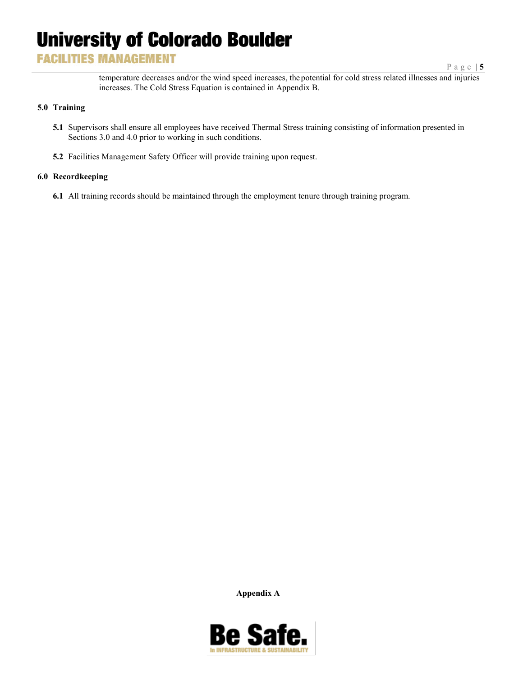## **FACILITIES MANAGEMENT**

Page | **5**

temperature decreases and/or the wind speed increases, thepotential for cold stress related illnesses and injuries increases. The Cold Stress Equation is contained in Appendix B.

### **5.0 Training**

- **5.1** Supervisors shall ensure all employees have received Thermal Stress training consisting of information presented in Sections 3.0 and 4.0 prior to working in such conditions.
- **5.2** Facilities Management Safety Officer will provide training upon request.

### **6.0 Recordkeeping**

**6.1** All training records should be maintained through the employment tenure through training program.

**Appendix A**

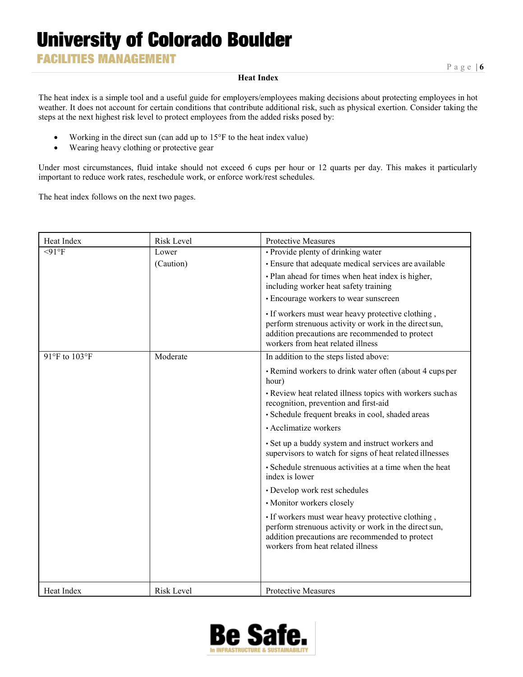**FACILITIES MANAGEMENT** 

### **Heat Index**

The heat index is a simple tool and a useful guide for employers/employees making decisions about protecting employees in hot weather. It does not account for certain conditions that contribute additional risk, such as physical exertion. Consider taking the steps at the next highest risk level to protect employees from the added risks posed by:

- Working in the direct sun (can add up to 15°F to the heat index value)
- Wearing heavy clothing or protective gear

Under most circumstances, fluid intake should not exceed 6 cups per hour or 12 quarts per day. This makes it particularly important to reduce work rates, reschedule work, or enforce work/rest schedules.

The heat index follows on the next two pages.

| Heat Index    | <b>Risk Level</b> | <b>Protective Measures</b>                                                                                                                                                                         |
|---------------|-------------------|----------------------------------------------------------------------------------------------------------------------------------------------------------------------------------------------------|
| $<$ 91°F      | Lower             | · Provide plenty of drinking water                                                                                                                                                                 |
|               | (Caution)         | · Ensure that adequate medical services are available                                                                                                                                              |
|               |                   | · Plan ahead for times when heat index is higher,<br>including worker heat safety training                                                                                                         |
|               |                   | • Encourage workers to wear sunscreen                                                                                                                                                              |
|               |                   | • If workers must wear heavy protective clothing,<br>perform strenuous activity or work in the direct sun,<br>addition precautions are recommended to protect<br>workers from heat related illness |
| 91°F to 103°F | Moderate          | In addition to the steps listed above:                                                                                                                                                             |
|               |                   | • Remind workers to drink water often (about 4 cups per<br>hour)                                                                                                                                   |
|               |                   | · Review heat related illness topics with workers such as<br>recognition, prevention and first-aid                                                                                                 |
|               |                   | · Schedule frequent breaks in cool, shaded areas                                                                                                                                                   |
|               |                   | • Acclimatize workers                                                                                                                                                                              |
|               |                   | · Set up a buddy system and instruct workers and<br>supervisors to watch for signs of heat related illnesses                                                                                       |
|               |                   | · Schedule strenuous activities at a time when the heat<br>index is lower                                                                                                                          |
|               |                   | · Develop work rest schedules                                                                                                                                                                      |
|               |                   | · Monitor workers closely                                                                                                                                                                          |
|               |                   | · If workers must wear heavy protective clothing,<br>perform strenuous activity or work in the direct sun,<br>addition precautions are recommended to protect<br>workers from heat related illness |
| Heat Index    | <b>Risk Level</b> | Protective Measures                                                                                                                                                                                |

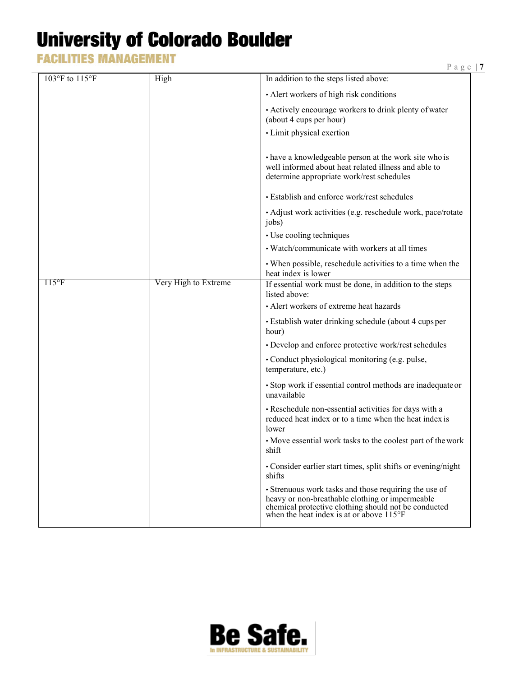**FACILITIES MANAGEMENT** 

| 103°F to 115°F       | High                 | In addition to the steps listed above:                                                                                                                                                                                 |
|----------------------|----------------------|------------------------------------------------------------------------------------------------------------------------------------------------------------------------------------------------------------------------|
|                      |                      | • Alert workers of high risk conditions                                                                                                                                                                                |
|                      |                      | • Actively encourage workers to drink plenty of water<br>(about 4 cups per hour)                                                                                                                                       |
|                      |                      | • Limit physical exertion                                                                                                                                                                                              |
|                      |                      | • have a knowledgeable person at the work site who is<br>well informed about heat related illness and able to<br>determine appropriate work/rest schedules                                                             |
|                      |                      | · Establish and enforce work/rest schedules                                                                                                                                                                            |
|                      |                      | • Adjust work activities (e.g. reschedule work, pace/rotate<br>jobs)                                                                                                                                                   |
|                      |                      | • Use cooling techniques                                                                                                                                                                                               |
|                      |                      | • Watch/communicate with workers at all times                                                                                                                                                                          |
|                      |                      | • When possible, reschedule activities to a time when the<br>heat index is lower                                                                                                                                       |
| $115$ <sup>o</sup> F | Very High to Extreme | If essential work must be done, in addition to the steps<br>listed above:                                                                                                                                              |
|                      |                      | • Alert workers of extreme heat hazards                                                                                                                                                                                |
|                      |                      | · Establish water drinking schedule (about 4 cups per<br>hour)                                                                                                                                                         |
|                      |                      | • Develop and enforce protective work/rest schedules                                                                                                                                                                   |
|                      |                      | • Conduct physiological monitoring (e.g. pulse,<br>temperature, etc.)                                                                                                                                                  |
|                      |                      | • Stop work if essential control methods are inadequate or<br>unavailable                                                                                                                                              |
|                      |                      | • Reschedule non-essential activities for days with a<br>reduced heat index or to a time when the heat index is<br>lower                                                                                               |
|                      |                      | • Move essential work tasks to the coolest part of the work<br>shift                                                                                                                                                   |
|                      |                      | • Consider earlier start times, split shifts or evening/night<br>shifts                                                                                                                                                |
|                      |                      | • Strenuous work tasks and those requiring the use of<br>heavy or non-breathable clothing or impermeable<br>chemical protective clothing should not be conducted<br>when the heat index is at or above $115^{\circ}$ F |

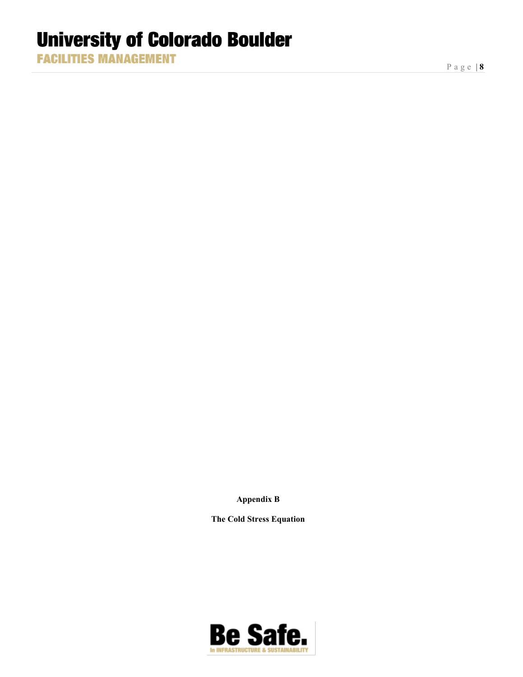**FACILITIES MANAGEMENT** 

Page | **8**

**Appendix B**

**The Cold Stress Equation**